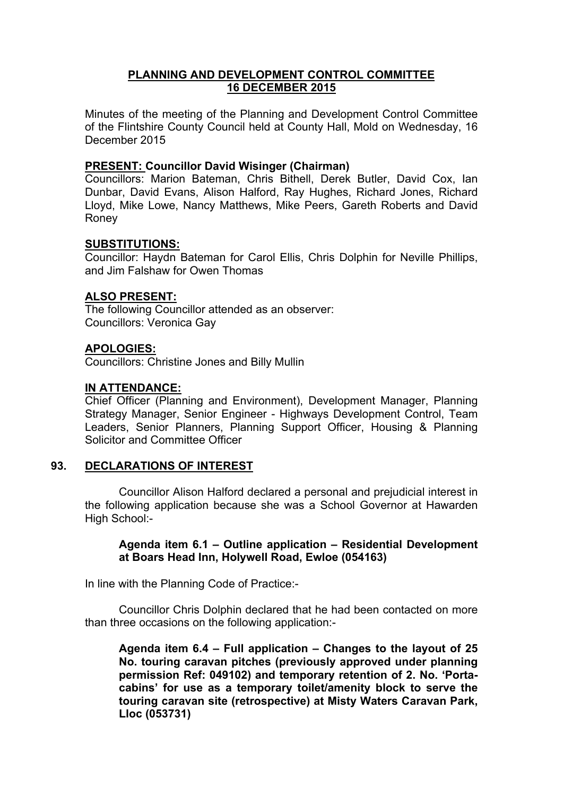# **PLANNING AND DEVELOPMENT CONTROL COMMITTEE 16 DECEMBER 2015**

Minutes of the meeting of the Planning and Development Control Committee of the Flintshire County Council held at County Hall, Mold on Wednesday, 16 December 2015

## **PRESENT: Councillor David Wisinger (Chairman)**

Councillors: Marion Bateman, Chris Bithell, Derek Butler, David Cox, Ian Dunbar, David Evans, Alison Halford, Ray Hughes, Richard Jones, Richard Lloyd, Mike Lowe, Nancy Matthews, Mike Peers, Gareth Roberts and David Roney

# **SUBSTITUTIONS:**

Councillor: Haydn Bateman for Carol Ellis, Chris Dolphin for Neville Phillips, and Jim Falshaw for Owen Thomas

## **ALSO PRESENT:**

The following Councillor attended as an observer: Councillors: Veronica Gay

## **APOLOGIES:**

Councillors: Christine Jones and Billy Mullin

## **IN ATTENDANCE:**

Chief Officer (Planning and Environment), Development Manager, Planning Strategy Manager, Senior Engineer - Highways Development Control, Team Leaders, Senior Planners, Planning Support Officer, Housing & Planning Solicitor and Committee Officer

# **93. DECLARATIONS OF INTEREST**

Councillor Alison Halford declared a personal and prejudicial interest in the following application because she was a School Governor at Hawarden High School:-

## **Agenda item 6.1 – Outline application – Residential Development at Boars Head Inn, Holywell Road, Ewloe (054163)**

In line with the Planning Code of Practice:-

Councillor Chris Dolphin declared that he had been contacted on more than three occasions on the following application:-

**Agenda item 6.4 – Full application – Changes to the layout of 25 No. touring caravan pitches (previously approved under planning permission Ref: 049102) and temporary retention of 2. No. 'Portacabins' for use as a temporary toilet/amenity block to serve the touring caravan site (retrospective) at Misty Waters Caravan Park, Lloc (053731)**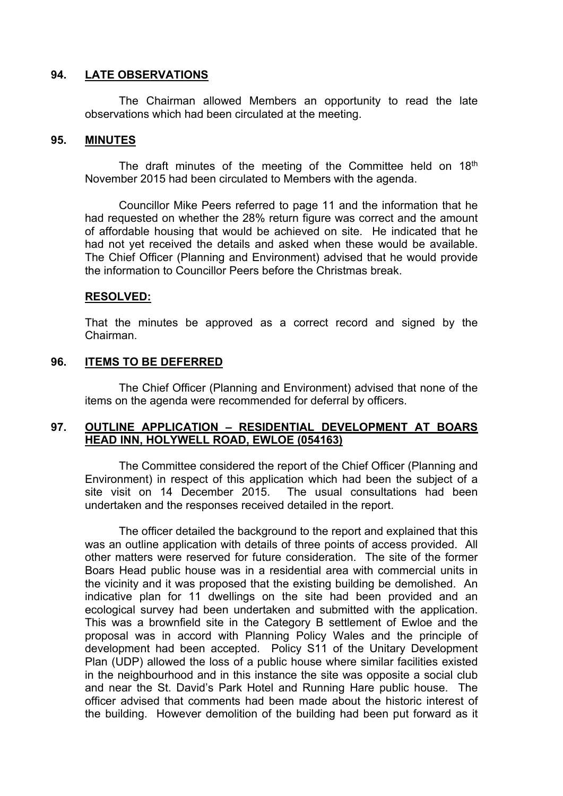## **94. LATE OBSERVATIONS**

The Chairman allowed Members an opportunity to read the late observations which had been circulated at the meeting.

## **95. MINUTES**

The draft minutes of the meeting of the Committee held on 18<sup>th</sup> November 2015 had been circulated to Members with the agenda.

Councillor Mike Peers referred to page 11 and the information that he had requested on whether the 28% return figure was correct and the amount of affordable housing that would be achieved on site. He indicated that he had not yet received the details and asked when these would be available. The Chief Officer (Planning and Environment) advised that he would provide the information to Councillor Peers before the Christmas break.

#### **RESOLVED:**

That the minutes be approved as a correct record and signed by the Chairman.

#### **96. ITEMS TO BE DEFERRED**

The Chief Officer (Planning and Environment) advised that none of the items on the agenda were recommended for deferral by officers.

#### **97. OUTLINE APPLICATION – RESIDENTIAL DEVELOPMENT AT BOARS HEAD INN, HOLYWELL ROAD, EWLOE (054163)**

The Committee considered the report of the Chief Officer (Planning and Environment) in respect of this application which had been the subject of a site visit on 14 December 2015. The usual consultations had been undertaken and the responses received detailed in the report.

The officer detailed the background to the report and explained that this was an outline application with details of three points of access provided. All other matters were reserved for future consideration. The site of the former Boars Head public house was in a residential area with commercial units in the vicinity and it was proposed that the existing building be demolished. An indicative plan for 11 dwellings on the site had been provided and an ecological survey had been undertaken and submitted with the application. This was a brownfield site in the Category B settlement of Ewloe and the proposal was in accord with Planning Policy Wales and the principle of development had been accepted. Policy S11 of the Unitary Development Plan (UDP) allowed the loss of a public house where similar facilities existed in the neighbourhood and in this instance the site was opposite a social club and near the St. David's Park Hotel and Running Hare public house. The officer advised that comments had been made about the historic interest of the building. However demolition of the building had been put forward as it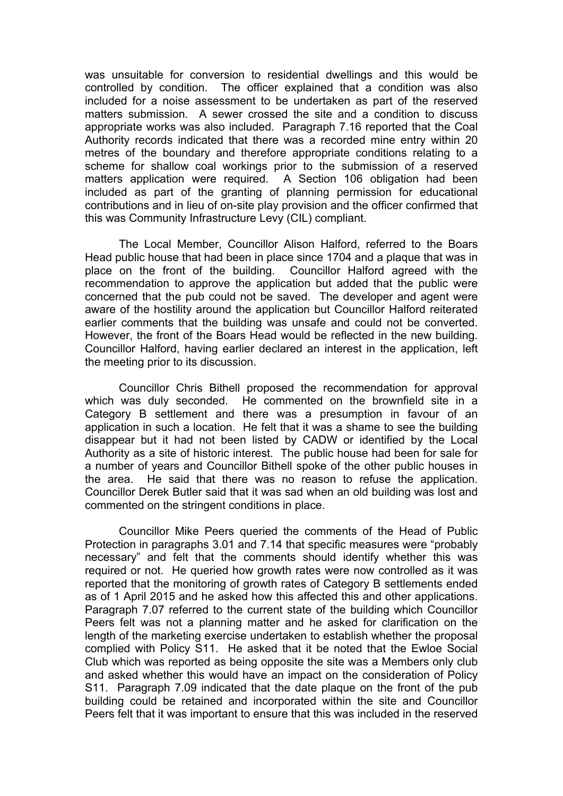was unsuitable for conversion to residential dwellings and this would be controlled by condition. The officer explained that a condition was also included for a noise assessment to be undertaken as part of the reserved matters submission. A sewer crossed the site and a condition to discuss appropriate works was also included. Paragraph 7.16 reported that the Coal Authority records indicated that there was a recorded mine entry within 20 metres of the boundary and therefore appropriate conditions relating to a scheme for shallow coal workings prior to the submission of a reserved matters application were required. A Section 106 obligation had been included as part of the granting of planning permission for educational contributions and in lieu of on-site play provision and the officer confirmed that this was Community Infrastructure Levy (CIL) compliant.

The Local Member, Councillor Alison Halford, referred to the Boars Head public house that had been in place since 1704 and a plaque that was in place on the front of the building. Councillor Halford agreed with the recommendation to approve the application but added that the public were concerned that the pub could not be saved. The developer and agent were aware of the hostility around the application but Councillor Halford reiterated earlier comments that the building was unsafe and could not be converted. However, the front of the Boars Head would be reflected in the new building. Councillor Halford, having earlier declared an interest in the application, left the meeting prior to its discussion.

Councillor Chris Bithell proposed the recommendation for approval which was duly seconded. He commented on the brownfield site in a Category B settlement and there was a presumption in favour of an application in such a location. He felt that it was a shame to see the building disappear but it had not been listed by CADW or identified by the Local Authority as a site of historic interest. The public house had been for sale for a number of years and Councillor Bithell spoke of the other public houses in the area. He said that there was no reason to refuse the application. Councillor Derek Butler said that it was sad when an old building was lost and commented on the stringent conditions in place.

Councillor Mike Peers queried the comments of the Head of Public Protection in paragraphs 3.01 and 7.14 that specific measures were "probably necessary" and felt that the comments should identify whether this was required or not. He queried how growth rates were now controlled as it was reported that the monitoring of growth rates of Category B settlements ended as of 1 April 2015 and he asked how this affected this and other applications. Paragraph 7.07 referred to the current state of the building which Councillor Peers felt was not a planning matter and he asked for clarification on the length of the marketing exercise undertaken to establish whether the proposal complied with Policy S11. He asked that it be noted that the Ewloe Social Club which was reported as being opposite the site was a Members only club and asked whether this would have an impact on the consideration of Policy S11. Paragraph 7.09 indicated that the date plaque on the front of the pub building could be retained and incorporated within the site and Councillor Peers felt that it was important to ensure that this was included in the reserved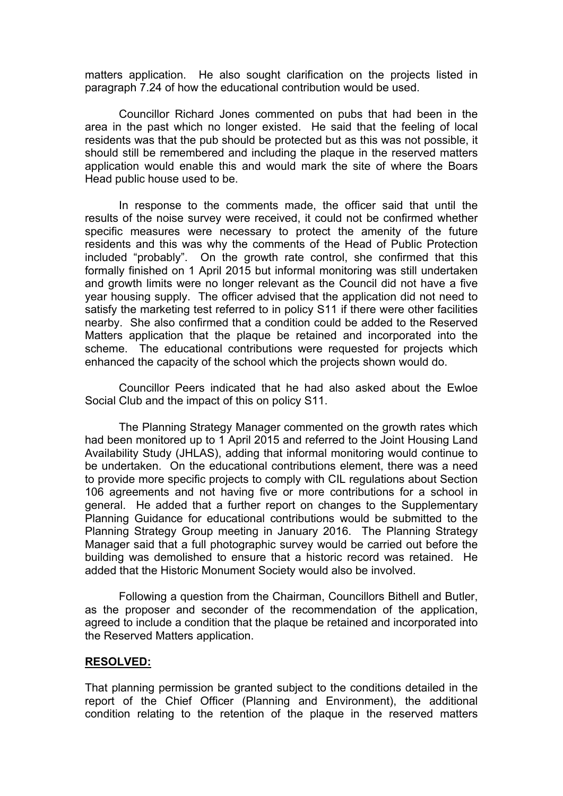matters application. He also sought clarification on the projects listed in paragraph 7.24 of how the educational contribution would be used.

Councillor Richard Jones commented on pubs that had been in the area in the past which no longer existed. He said that the feeling of local residents was that the pub should be protected but as this was not possible, it should still be remembered and including the plaque in the reserved matters application would enable this and would mark the site of where the Boars Head public house used to be.

In response to the comments made, the officer said that until the results of the noise survey were received, it could not be confirmed whether specific measures were necessary to protect the amenity of the future residents and this was why the comments of the Head of Public Protection included "probably". On the growth rate control, she confirmed that this formally finished on 1 April 2015 but informal monitoring was still undertaken and growth limits were no longer relevant as the Council did not have a five year housing supply. The officer advised that the application did not need to satisfy the marketing test referred to in policy S11 if there were other facilities nearby. She also confirmed that a condition could be added to the Reserved Matters application that the plaque be retained and incorporated into the scheme. The educational contributions were requested for projects which enhanced the capacity of the school which the projects shown would do.

Councillor Peers indicated that he had also asked about the Ewloe Social Club and the impact of this on policy S11.

The Planning Strategy Manager commented on the growth rates which had been monitored up to 1 April 2015 and referred to the Joint Housing Land Availability Study (JHLAS), adding that informal monitoring would continue to be undertaken. On the educational contributions element, there was a need to provide more specific projects to comply with CIL regulations about Section 106 agreements and not having five or more contributions for a school in general. He added that a further report on changes to the Supplementary Planning Guidance for educational contributions would be submitted to the Planning Strategy Group meeting in January 2016. The Planning Strategy Manager said that a full photographic survey would be carried out before the building was demolished to ensure that a historic record was retained. He added that the Historic Monument Society would also be involved.

Following a question from the Chairman, Councillors Bithell and Butler, as the proposer and seconder of the recommendation of the application, agreed to include a condition that the plaque be retained and incorporated into the Reserved Matters application.

#### **RESOLVED:**

That planning permission be granted subject to the conditions detailed in the report of the Chief Officer (Planning and Environment), the additional condition relating to the retention of the plaque in the reserved matters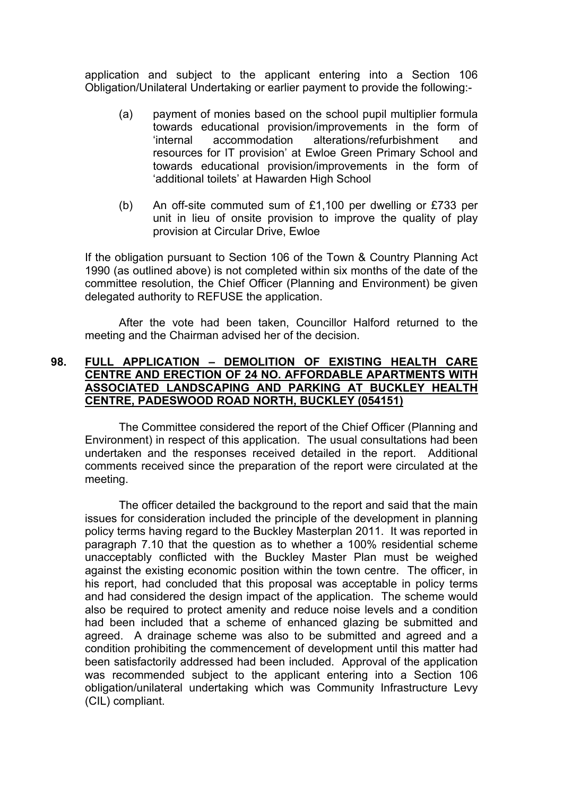application and subject to the applicant entering into a Section 106 Obligation/Unilateral Undertaking or earlier payment to provide the following:-

- (a) payment of monies based on the school pupil multiplier formula towards educational provision/improvements in the form of 'internal accommodation alterations/refurbishment and resources for IT provision' at Ewloe Green Primary School and towards educational provision/improvements in the form of 'additional toilets' at Hawarden High School
- (b) An off-site commuted sum of £1,100 per dwelling or £733 per unit in lieu of onsite provision to improve the quality of play provision at Circular Drive, Ewloe

If the obligation pursuant to Section 106 of the Town & Country Planning Act 1990 (as outlined above) is not completed within six months of the date of the committee resolution, the Chief Officer (Planning and Environment) be given delegated authority to REFUSE the application.

After the vote had been taken, Councillor Halford returned to the meeting and the Chairman advised her of the decision.

## **98. FULL APPLICATION – DEMOLITION OF EXISTING HEALTH CARE CENTRE AND ERECTION OF 24 NO. AFFORDABLE APARTMENTS WITH ASSOCIATED LANDSCAPING AND PARKING AT BUCKLEY HEALTH CENTRE, PADESWOOD ROAD NORTH, BUCKLEY (054151)**

The Committee considered the report of the Chief Officer (Planning and Environment) in respect of this application. The usual consultations had been undertaken and the responses received detailed in the report. Additional comments received since the preparation of the report were circulated at the meeting.

The officer detailed the background to the report and said that the main issues for consideration included the principle of the development in planning policy terms having regard to the Buckley Masterplan 2011. It was reported in paragraph 7.10 that the question as to whether a 100% residential scheme unacceptably conflicted with the Buckley Master Plan must be weighed against the existing economic position within the town centre. The officer, in his report, had concluded that this proposal was acceptable in policy terms and had considered the design impact of the application. The scheme would also be required to protect amenity and reduce noise levels and a condition had been included that a scheme of enhanced glazing be submitted and agreed. A drainage scheme was also to be submitted and agreed and a condition prohibiting the commencement of development until this matter had been satisfactorily addressed had been included. Approval of the application was recommended subject to the applicant entering into a Section 106 obligation/unilateral undertaking which was Community Infrastructure Levy (CIL) compliant.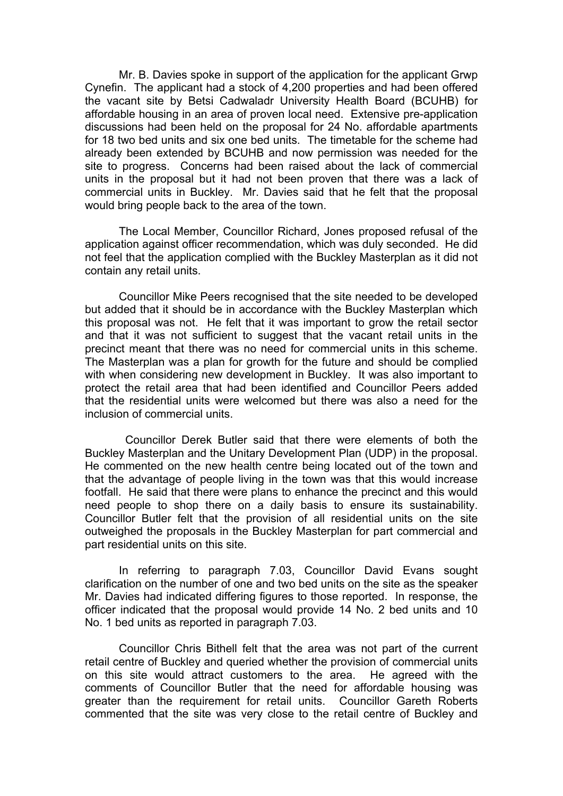Mr. B. Davies spoke in support of the application for the applicant Grwp Cynefin. The applicant had a stock of 4,200 properties and had been offered the vacant site by Betsi Cadwaladr University Health Board (BCUHB) for affordable housing in an area of proven local need. Extensive pre-application discussions had been held on the proposal for 24 No. affordable apartments for 18 two bed units and six one bed units. The timetable for the scheme had already been extended by BCUHB and now permission was needed for the site to progress. Concerns had been raised about the lack of commercial units in the proposal but it had not been proven that there was a lack of commercial units in Buckley. Mr. Davies said that he felt that the proposal would bring people back to the area of the town.

The Local Member, Councillor Richard, Jones proposed refusal of the application against officer recommendation, which was duly seconded. He did not feel that the application complied with the Buckley Masterplan as it did not contain any retail units.

Councillor Mike Peers recognised that the site needed to be developed but added that it should be in accordance with the Buckley Masterplan which this proposal was not. He felt that it was important to grow the retail sector and that it was not sufficient to suggest that the vacant retail units in the precinct meant that there was no need for commercial units in this scheme. The Masterplan was a plan for growth for the future and should be complied with when considering new development in Buckley. It was also important to protect the retail area that had been identified and Councillor Peers added that the residential units were welcomed but there was also a need for the inclusion of commercial units.

 Councillor Derek Butler said that there were elements of both the Buckley Masterplan and the Unitary Development Plan (UDP) in the proposal. He commented on the new health centre being located out of the town and that the advantage of people living in the town was that this would increase footfall. He said that there were plans to enhance the precinct and this would need people to shop there on a daily basis to ensure its sustainability. Councillor Butler felt that the provision of all residential units on the site outweighed the proposals in the Buckley Masterplan for part commercial and part residential units on this site.

In referring to paragraph 7.03, Councillor David Evans sought clarification on the number of one and two bed units on the site as the speaker Mr. Davies had indicated differing figures to those reported. In response, the officer indicated that the proposal would provide 14 No. 2 bed units and 10 No. 1 bed units as reported in paragraph 7.03.

Councillor Chris Bithell felt that the area was not part of the current retail centre of Buckley and queried whether the provision of commercial units on this site would attract customers to the area. He agreed with the comments of Councillor Butler that the need for affordable housing was greater than the requirement for retail units. Councillor Gareth Roberts commented that the site was very close to the retail centre of Buckley and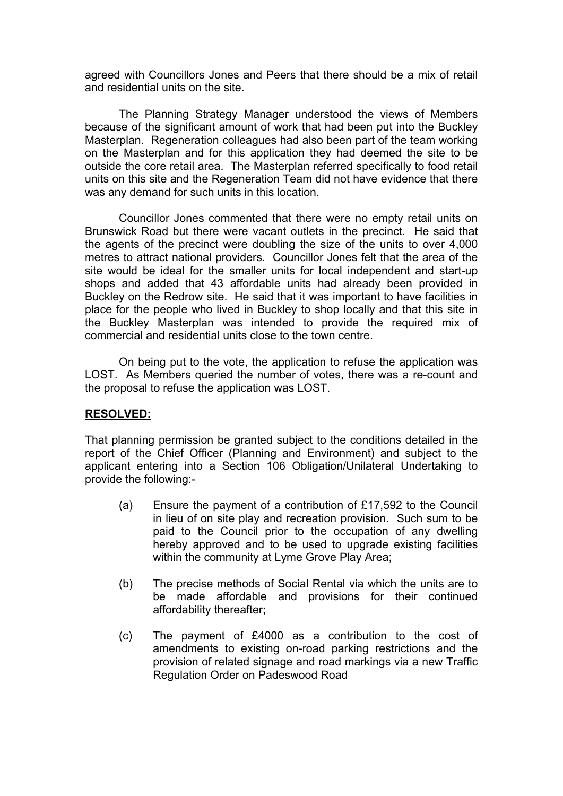agreed with Councillors Jones and Peers that there should be a mix of retail and residential units on the site.

The Planning Strategy Manager understood the views of Members because of the significant amount of work that had been put into the Buckley Masterplan. Regeneration colleagues had also been part of the team working on the Masterplan and for this application they had deemed the site to be outside the core retail area. The Masterplan referred specifically to food retail units on this site and the Regeneration Team did not have evidence that there was any demand for such units in this location.

Councillor Jones commented that there were no empty retail units on Brunswick Road but there were vacant outlets in the precinct. He said that the agents of the precinct were doubling the size of the units to over 4,000 metres to attract national providers. Councillor Jones felt that the area of the site would be ideal for the smaller units for local independent and start-up shops and added that 43 affordable units had already been provided in Buckley on the Redrow site. He said that it was important to have facilities in place for the people who lived in Buckley to shop locally and that this site in the Buckley Masterplan was intended to provide the required mix of commercial and residential units close to the town centre.

On being put to the vote, the application to refuse the application was LOST. As Members queried the number of votes, there was a re-count and the proposal to refuse the application was LOST.

# **RESOLVED:**

That planning permission be granted subject to the conditions detailed in the report of the Chief Officer (Planning and Environment) and subject to the applicant entering into a Section 106 Obligation/Unilateral Undertaking to provide the following:-

- (a) Ensure the payment of a contribution of £17,592 to the Council in lieu of on site play and recreation provision. Such sum to be paid to the Council prior to the occupation of any dwelling hereby approved and to be used to upgrade existing facilities within the community at Lyme Grove Play Area;
- (b) The precise methods of Social Rental via which the units are to be made affordable and provisions for their continued affordability thereafter;
- (c) The payment of £4000 as a contribution to the cost of amendments to existing on-road parking restrictions and the provision of related signage and road markings via a new Traffic Regulation Order on Padeswood Road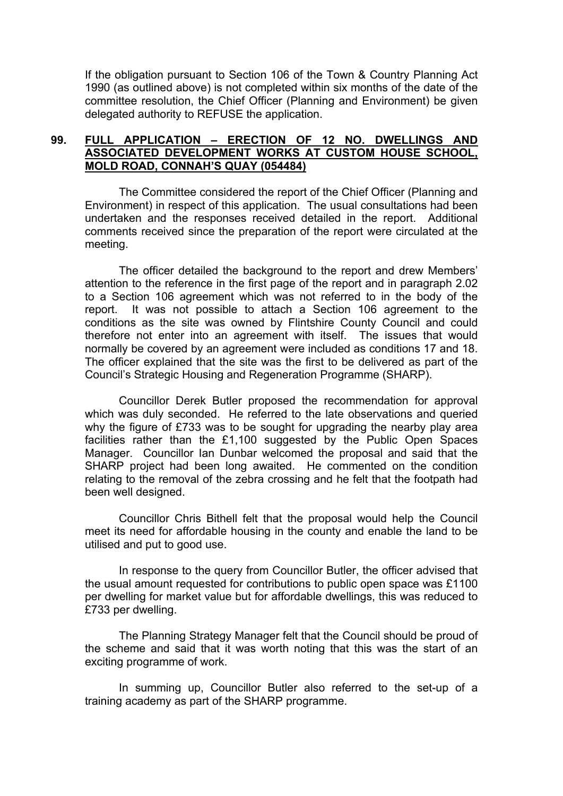If the obligation pursuant to Section 106 of the Town & Country Planning Act 1990 (as outlined above) is not completed within six months of the date of the committee resolution, the Chief Officer (Planning and Environment) be given delegated authority to REFUSE the application.

# **99. FULL APPLICATION – ERECTION OF 12 NO. DWELLINGS AND ASSOCIATED DEVELOPMENT WORKS AT CUSTOM HOUSE SCHOOL, MOLD ROAD, CONNAH'S QUAY (054484)**

The Committee considered the report of the Chief Officer (Planning and Environment) in respect of this application. The usual consultations had been undertaken and the responses received detailed in the report. Additional comments received since the preparation of the report were circulated at the meeting.

The officer detailed the background to the report and drew Members' attention to the reference in the first page of the report and in paragraph 2.02 to a Section 106 agreement which was not referred to in the body of the report. It was not possible to attach a Section 106 agreement to the conditions as the site was owned by Flintshire County Council and could therefore not enter into an agreement with itself. The issues that would normally be covered by an agreement were included as conditions 17 and 18. The officer explained that the site was the first to be delivered as part of the Council's Strategic Housing and Regeneration Programme (SHARP).

Councillor Derek Butler proposed the recommendation for approval which was duly seconded. He referred to the late observations and queried why the figure of £733 was to be sought for upgrading the nearby play area facilities rather than the £1,100 suggested by the Public Open Spaces Manager. Councillor Ian Dunbar welcomed the proposal and said that the SHARP project had been long awaited. He commented on the condition relating to the removal of the zebra crossing and he felt that the footpath had been well designed.

Councillor Chris Bithell felt that the proposal would help the Council meet its need for affordable housing in the county and enable the land to be utilised and put to good use.

In response to the query from Councillor Butler, the officer advised that the usual amount requested for contributions to public open space was £1100 per dwelling for market value but for affordable dwellings, this was reduced to £733 per dwelling.

The Planning Strategy Manager felt that the Council should be proud of the scheme and said that it was worth noting that this was the start of an exciting programme of work.

In summing up, Councillor Butler also referred to the set-up of a training academy as part of the SHARP programme.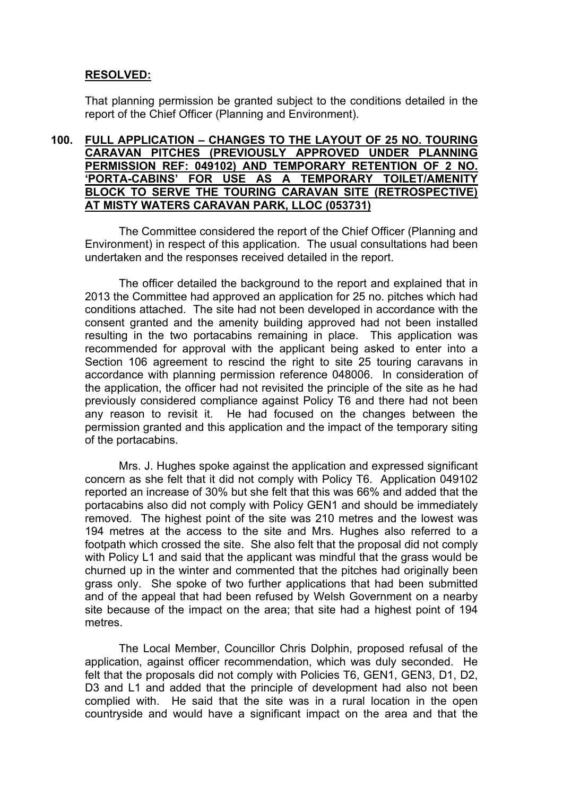# **RESOLVED:**

That planning permission be granted subject to the conditions detailed in the report of the Chief Officer (Planning and Environment).

## **100. FULL APPLICATION – CHANGES TO THE LAYOUT OF 25 NO. TOURING CARAVAN PITCHES (PREVIOUSLY APPROVED UNDER PLANNING PERMISSION REF: 049102) AND TEMPORARY RETENTION OF 2 NO. 'PORTA-CABINS' FOR USE AS A TEMPORARY TOILET/AMENITY BLOCK TO SERVE THE TOURING CARAVAN SITE (RETROSPECTIVE) AT MISTY WATERS CARAVAN PARK, LLOC (053731)**

The Committee considered the report of the Chief Officer (Planning and Environment) in respect of this application. The usual consultations had been undertaken and the responses received detailed in the report.

The officer detailed the background to the report and explained that in 2013 the Committee had approved an application for 25 no. pitches which had conditions attached. The site had not been developed in accordance with the consent granted and the amenity building approved had not been installed resulting in the two portacabins remaining in place. This application was recommended for approval with the applicant being asked to enter into a Section 106 agreement to rescind the right to site 25 touring caravans in accordance with planning permission reference 048006. In consideration of the application, the officer had not revisited the principle of the site as he had previously considered compliance against Policy T6 and there had not been any reason to revisit it. He had focused on the changes between the permission granted and this application and the impact of the temporary siting of the portacabins.

Mrs. J. Hughes spoke against the application and expressed significant concern as she felt that it did not comply with Policy T6. Application 049102 reported an increase of 30% but she felt that this was 66% and added that the portacabins also did not comply with Policy GEN1 and should be immediately removed. The highest point of the site was 210 metres and the lowest was 194 metres at the access to the site and Mrs. Hughes also referred to a footpath which crossed the site. She also felt that the proposal did not comply with Policy L1 and said that the applicant was mindful that the grass would be churned up in the winter and commented that the pitches had originally been grass only. She spoke of two further applications that had been submitted and of the appeal that had been refused by Welsh Government on a nearby site because of the impact on the area; that site had a highest point of 194 metres.

The Local Member, Councillor Chris Dolphin, proposed refusal of the application, against officer recommendation, which was duly seconded. He felt that the proposals did not comply with Policies T6, GEN1, GEN3, D1, D2, D3 and L1 and added that the principle of development had also not been complied with. He said that the site was in a rural location in the open countryside and would have a significant impact on the area and that the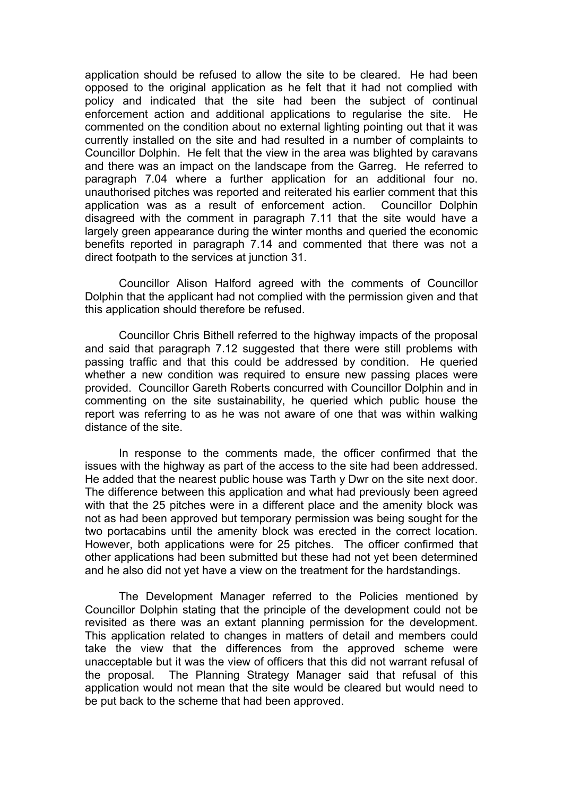application should be refused to allow the site to be cleared. He had been opposed to the original application as he felt that it had not complied with policy and indicated that the site had been the subject of continual enforcement action and additional applications to regularise the site. He commented on the condition about no external lighting pointing out that it was currently installed on the site and had resulted in a number of complaints to Councillor Dolphin. He felt that the view in the area was blighted by caravans and there was an impact on the landscape from the Garreg. He referred to paragraph 7.04 where a further application for an additional four no. unauthorised pitches was reported and reiterated his earlier comment that this application was as a result of enforcement action. Councillor Dolphin disagreed with the comment in paragraph 7.11 that the site would have a largely green appearance during the winter months and queried the economic benefits reported in paragraph 7.14 and commented that there was not a direct footpath to the services at junction 31.

Councillor Alison Halford agreed with the comments of Councillor Dolphin that the applicant had not complied with the permission given and that this application should therefore be refused.

Councillor Chris Bithell referred to the highway impacts of the proposal and said that paragraph 7.12 suggested that there were still problems with passing traffic and that this could be addressed by condition. He queried whether a new condition was required to ensure new passing places were provided. Councillor Gareth Roberts concurred with Councillor Dolphin and in commenting on the site sustainability, he queried which public house the report was referring to as he was not aware of one that was within walking distance of the site.

In response to the comments made, the officer confirmed that the issues with the highway as part of the access to the site had been addressed. He added that the nearest public house was Tarth y Dwr on the site next door. The difference between this application and what had previously been agreed with that the 25 pitches were in a different place and the amenity block was not as had been approved but temporary permission was being sought for the two portacabins until the amenity block was erected in the correct location. However, both applications were for 25 pitches. The officer confirmed that other applications had been submitted but these had not yet been determined and he also did not yet have a view on the treatment for the hardstandings.

The Development Manager referred to the Policies mentioned by Councillor Dolphin stating that the principle of the development could not be revisited as there was an extant planning permission for the development. This application related to changes in matters of detail and members could take the view that the differences from the approved scheme were unacceptable but it was the view of officers that this did not warrant refusal of the proposal. The Planning Strategy Manager said that refusal of this application would not mean that the site would be cleared but would need to be put back to the scheme that had been approved.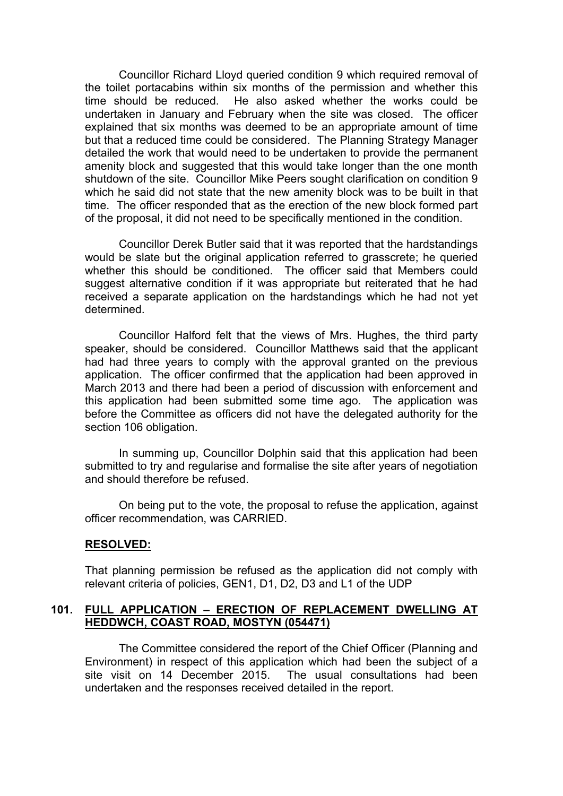Councillor Richard Lloyd queried condition 9 which required removal of the toilet portacabins within six months of the permission and whether this time should be reduced. He also asked whether the works could be undertaken in January and February when the site was closed. The officer explained that six months was deemed to be an appropriate amount of time but that a reduced time could be considered. The Planning Strategy Manager detailed the work that would need to be undertaken to provide the permanent amenity block and suggested that this would take longer than the one month shutdown of the site. Councillor Mike Peers sought clarification on condition 9 which he said did not state that the new amenity block was to be built in that time. The officer responded that as the erection of the new block formed part of the proposal, it did not need to be specifically mentioned in the condition.

Councillor Derek Butler said that it was reported that the hardstandings would be slate but the original application referred to grasscrete; he queried whether this should be conditioned. The officer said that Members could suggest alternative condition if it was appropriate but reiterated that he had received a separate application on the hardstandings which he had not yet determined.

Councillor Halford felt that the views of Mrs. Hughes, the third party speaker, should be considered. Councillor Matthews said that the applicant had had three years to comply with the approval granted on the previous application. The officer confirmed that the application had been approved in March 2013 and there had been a period of discussion with enforcement and this application had been submitted some time ago. The application was before the Committee as officers did not have the delegated authority for the section 106 obligation.

In summing up, Councillor Dolphin said that this application had been submitted to try and regularise and formalise the site after years of negotiation and should therefore be refused.

On being put to the vote, the proposal to refuse the application, against officer recommendation, was CARRIED.

#### **RESOLVED:**

That planning permission be refused as the application did not comply with relevant criteria of policies, GEN1, D1, D2, D3 and L1 of the UDP

# **101. FULL APPLICATION – ERECTION OF REPLACEMENT DWELLING AT HEDDWCH, COAST ROAD, MOSTYN (054471)**

The Committee considered the report of the Chief Officer (Planning and Environment) in respect of this application which had been the subject of a site visit on 14 December 2015. The usual consultations had been undertaken and the responses received detailed in the report.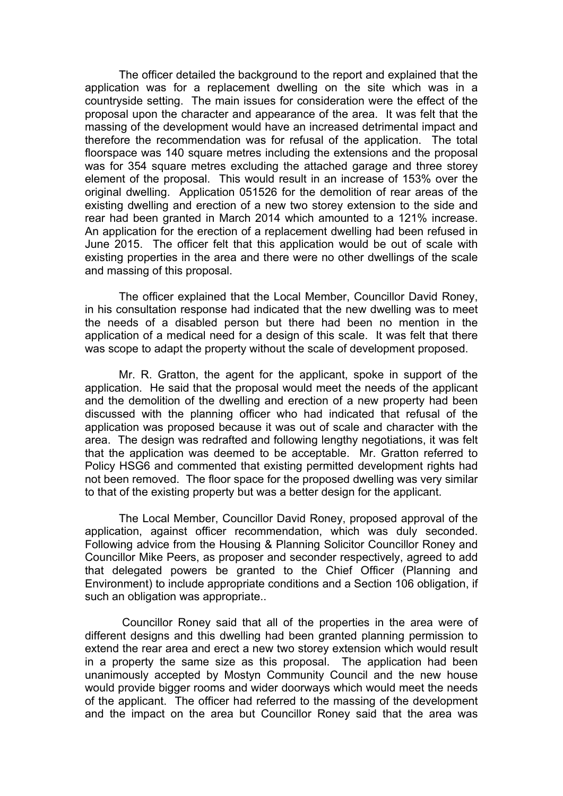The officer detailed the background to the report and explained that the application was for a replacement dwelling on the site which was in a countryside setting. The main issues for consideration were the effect of the proposal upon the character and appearance of the area. It was felt that the massing of the development would have an increased detrimental impact and therefore the recommendation was for refusal of the application. The total floorspace was 140 square metres including the extensions and the proposal was for 354 square metres excluding the attached garage and three storey element of the proposal. This would result in an increase of 153% over the original dwelling. Application 051526 for the demolition of rear areas of the existing dwelling and erection of a new two storey extension to the side and rear had been granted in March 2014 which amounted to a 121% increase. An application for the erection of a replacement dwelling had been refused in June 2015. The officer felt that this application would be out of scale with existing properties in the area and there were no other dwellings of the scale and massing of this proposal.

The officer explained that the Local Member, Councillor David Roney, in his consultation response had indicated that the new dwelling was to meet the needs of a disabled person but there had been no mention in the application of a medical need for a design of this scale. It was felt that there was scope to adapt the property without the scale of development proposed.

Mr. R. Gratton, the agent for the applicant, spoke in support of the application. He said that the proposal would meet the needs of the applicant and the demolition of the dwelling and erection of a new property had been discussed with the planning officer who had indicated that refusal of the application was proposed because it was out of scale and character with the area. The design was redrafted and following lengthy negotiations, it was felt that the application was deemed to be acceptable. Mr. Gratton referred to Policy HSG6 and commented that existing permitted development rights had not been removed. The floor space for the proposed dwelling was very similar to that of the existing property but was a better design for the applicant.

The Local Member, Councillor David Roney, proposed approval of the application, against officer recommendation, which was duly seconded. Following advice from the Housing & Planning Solicitor Councillor Roney and Councillor Mike Peers, as proposer and seconder respectively, agreed to add that delegated powers be granted to the Chief Officer (Planning and Environment) to include appropriate conditions and a Section 106 obligation, if such an obligation was appropriate..

Councillor Roney said that all of the properties in the area were of different designs and this dwelling had been granted planning permission to extend the rear area and erect a new two storey extension which would result in a property the same size as this proposal. The application had been unanimously accepted by Mostyn Community Council and the new house would provide bigger rooms and wider doorways which would meet the needs of the applicant. The officer had referred to the massing of the development and the impact on the area but Councillor Roney said that the area was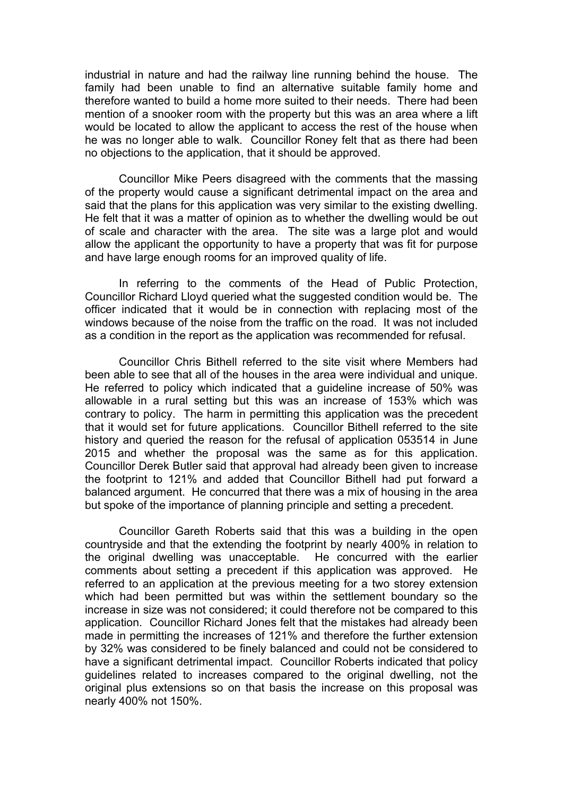industrial in nature and had the railway line running behind the house. The family had been unable to find an alternative suitable family home and therefore wanted to build a home more suited to their needs. There had been mention of a snooker room with the property but this was an area where a lift would be located to allow the applicant to access the rest of the house when he was no longer able to walk. Councillor Roney felt that as there had been no objections to the application, that it should be approved.

Councillor Mike Peers disagreed with the comments that the massing of the property would cause a significant detrimental impact on the area and said that the plans for this application was very similar to the existing dwelling. He felt that it was a matter of opinion as to whether the dwelling would be out of scale and character with the area. The site was a large plot and would allow the applicant the opportunity to have a property that was fit for purpose and have large enough rooms for an improved quality of life.

In referring to the comments of the Head of Public Protection, Councillor Richard Lloyd queried what the suggested condition would be. The officer indicated that it would be in connection with replacing most of the windows because of the noise from the traffic on the road. It was not included as a condition in the report as the application was recommended for refusal.

Councillor Chris Bithell referred to the site visit where Members had been able to see that all of the houses in the area were individual and unique. He referred to policy which indicated that a guideline increase of 50% was allowable in a rural setting but this was an increase of 153% which was contrary to policy. The harm in permitting this application was the precedent that it would set for future applications. Councillor Bithell referred to the site history and queried the reason for the refusal of application 053514 in June 2015 and whether the proposal was the same as for this application. Councillor Derek Butler said that approval had already been given to increase the footprint to 121% and added that Councillor Bithell had put forward a balanced argument. He concurred that there was a mix of housing in the area but spoke of the importance of planning principle and setting a precedent.

Councillor Gareth Roberts said that this was a building in the open countryside and that the extending the footprint by nearly 400% in relation to the original dwelling was unacceptable. He concurred with the earlier comments about setting a precedent if this application was approved. He referred to an application at the previous meeting for a two storey extension which had been permitted but was within the settlement boundary so the increase in size was not considered; it could therefore not be compared to this application. Councillor Richard Jones felt that the mistakes had already been made in permitting the increases of 121% and therefore the further extension by 32% was considered to be finely balanced and could not be considered to have a significant detrimental impact. Councillor Roberts indicated that policy guidelines related to increases compared to the original dwelling, not the original plus extensions so on that basis the increase on this proposal was nearly 400% not 150%.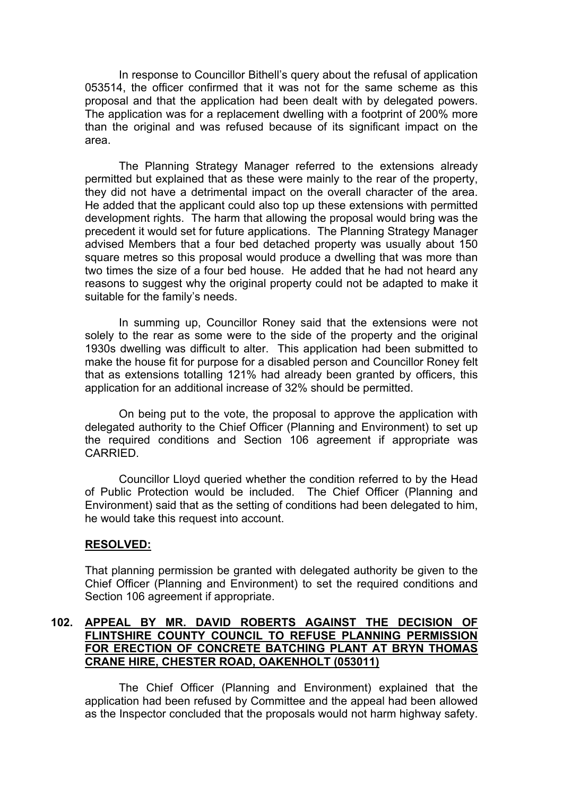In response to Councillor Bithell's query about the refusal of application 053514, the officer confirmed that it was not for the same scheme as this proposal and that the application had been dealt with by delegated powers. The application was for a replacement dwelling with a footprint of 200% more than the original and was refused because of its significant impact on the area.

The Planning Strategy Manager referred to the extensions already permitted but explained that as these were mainly to the rear of the property, they did not have a detrimental impact on the overall character of the area. He added that the applicant could also top up these extensions with permitted development rights. The harm that allowing the proposal would bring was the precedent it would set for future applications. The Planning Strategy Manager advised Members that a four bed detached property was usually about 150 square metres so this proposal would produce a dwelling that was more than two times the size of a four bed house. He added that he had not heard any reasons to suggest why the original property could not be adapted to make it suitable for the family's needs.

In summing up, Councillor Roney said that the extensions were not solely to the rear as some were to the side of the property and the original 1930s dwelling was difficult to alter. This application had been submitted to make the house fit for purpose for a disabled person and Councillor Roney felt that as extensions totalling 121% had already been granted by officers, this application for an additional increase of 32% should be permitted.

On being put to the vote, the proposal to approve the application with delegated authority to the Chief Officer (Planning and Environment) to set up the required conditions and Section 106 agreement if appropriate was CARRIED.

Councillor Lloyd queried whether the condition referred to by the Head of Public Protection would be included. The Chief Officer (Planning and Environment) said that as the setting of conditions had been delegated to him, he would take this request into account.

# **RESOLVED:**

That planning permission be granted with delegated authority be given to the Chief Officer (Planning and Environment) to set the required conditions and Section 106 agreement if appropriate.

# **102. APPEAL BY MR. DAVID ROBERTS AGAINST THE DECISION OF FLINTSHIRE COUNTY COUNCIL TO REFUSE PLANNING PERMISSION FOR ERECTION OF CONCRETE BATCHING PLANT AT BRYN THOMAS CRANE HIRE, CHESTER ROAD, OAKENHOLT (053011)**

The Chief Officer (Planning and Environment) explained that the application had been refused by Committee and the appeal had been allowed as the Inspector concluded that the proposals would not harm highway safety.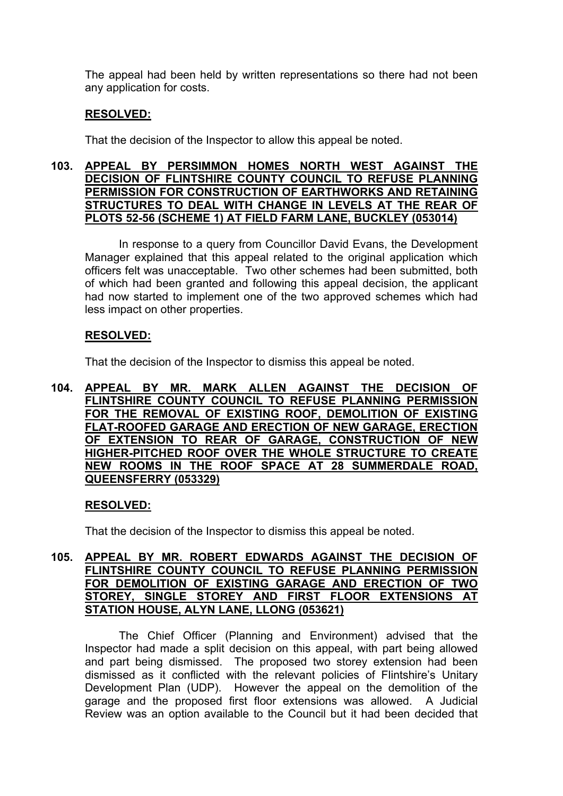The appeal had been held by written representations so there had not been any application for costs.

# **RESOLVED:**

That the decision of the Inspector to allow this appeal be noted.

## **103. APPEAL BY PERSIMMON HOMES NORTH WEST AGAINST THE DECISION OF FLINTSHIRE COUNTY COUNCIL TO REFUSE PLANNING PERMISSION FOR CONSTRUCTION OF EARTHWORKS AND RETAINING STRUCTURES TO DEAL WITH CHANGE IN LEVELS AT THE REAR OF PLOTS 52-56 (SCHEME 1) AT FIELD FARM LANE, BUCKLEY (053014)**

In response to a query from Councillor David Evans, the Development Manager explained that this appeal related to the original application which officers felt was unacceptable. Two other schemes had been submitted, both of which had been granted and following this appeal decision, the applicant had now started to implement one of the two approved schemes which had less impact on other properties.

# **RESOLVED:**

That the decision of the Inspector to dismiss this appeal be noted.

## **104. APPEAL BY MR. MARK ALLEN AGAINST THE DECISION OF FLINTSHIRE COUNTY COUNCIL TO REFUSE PLANNING PERMISSION FOR THE REMOVAL OF EXISTING ROOF, DEMOLITION OF EXISTING FLAT-ROOFED GARAGE AND ERECTION OF NEW GARAGE, ERECTION OF EXTENSION TO REAR OF GARAGE, CONSTRUCTION OF NEW HIGHER-PITCHED ROOF OVER THE WHOLE STRUCTURE TO CREATE NEW ROOMS IN THE ROOF SPACE AT 28 SUMMERDALE ROAD, QUEENSFERRY (053329)**

# **RESOLVED:**

That the decision of the Inspector to dismiss this appeal be noted.

## **105. APPEAL BY MR. ROBERT EDWARDS AGAINST THE DECISION OF FLINTSHIRE COUNTY COUNCIL TO REFUSE PLANNING PERMISSION FOR DEMOLITION OF EXISTING GARAGE AND ERECTION OF TWO STOREY, SINGLE STOREY AND FIRST FLOOR EXTENSIONS AT STATION HOUSE, ALYN LANE, LLONG (053621)**

The Chief Officer (Planning and Environment) advised that the Inspector had made a split decision on this appeal, with part being allowed and part being dismissed. The proposed two storey extension had been dismissed as it conflicted with the relevant policies of Flintshire's Unitary Development Plan (UDP). However the appeal on the demolition of the garage and the proposed first floor extensions was allowed. A Judicial Review was an option available to the Council but it had been decided that